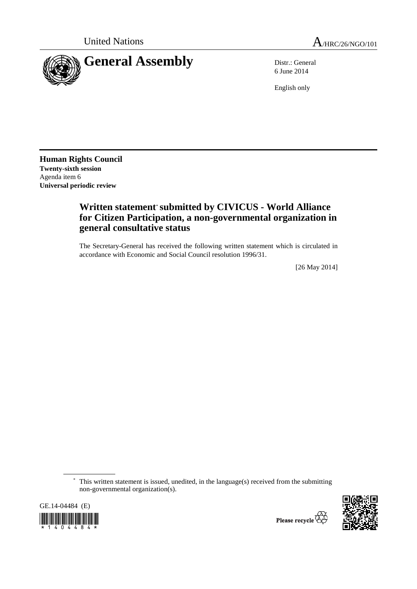

6 June 2014

English only

**Human Rights Council Twenty-sixth session**  Agenda item 6 **Universal periodic review** 

# **Written statement**\* **submitted by CIVICUS - World Alliance for Citizen Participation, a non-governmental organization in general consultative status**

The Secretary-General has received the following written statement which is circulated in accordance with Economic and Social Council resolution 1996/31.

[26 May 2014]

 \* This written statement is issued, unedited, in the language(s) received from the submitting non-governmental organization(s).

GE.14-04484 (E) \*1404484\*



Please recycle  $\overleftrightarrow{G}$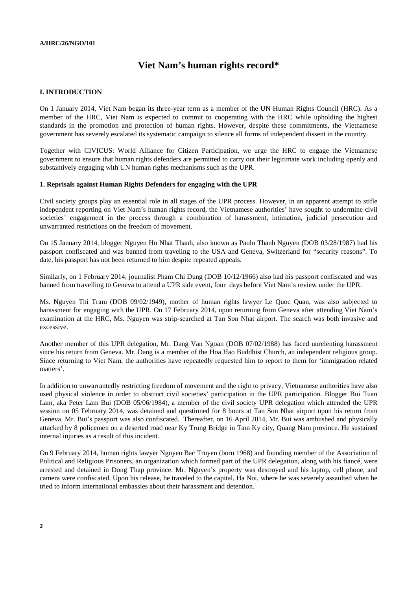## **Viet Nam's human rights record\***

#### **I. INTRODUCTION**

On 1 January 2014, Viet Nam began its three-year term as a member of the UN Human Rights Council (HRC). As a member of the HRC, Viet Nam is expected to commit to cooperating with the HRC while upholding the highest standards in the promotion and protection of human rights. However, despite these commitments, the Vietnamese government has severely escalated its systematic campaign to silence all forms of independent dissent in the country.

Together with CIVICUS: World Alliance for Citizen Participation, we urge the HRC to engage the Vietnamese government to ensure that human rights defenders are permitted to carry out their legitimate work including openly and substantively engaging with UN human rights mechanisms such as the UPR.

#### **1. Reprisals against Human Rights Defenders for engaging with the UPR**

Civil society groups play an essential role in all stages of the UPR process. However, in an apparent attempt to stifle independent reporting on Viet Nam's human rights record, the Vietnamese authorities' have sought to undermine civil societies' engagement in the process through a combination of harassment, intimation, judicial persecution and unwarranted restrictions on the freedom of movement.

On 15 January 2014, blogger Nguyen Ho Nhat Thanh, also known as Paulo Thanh Nguyen (DOB 03/28/1987) had his passport confiscated and was banned from traveling to the USA and Geneva, Switzerland for "security reasons". To date, his passport has not been returned to him despite repeated appeals.

Similarly, on 1 February 2014, journalist Pham Chi Dung (DOB 10/12/1966) also had his passport confiscated and was banned from travelling to Geneva to attend a UPR side event, four days before Viet Nam's review under the UPR.

Ms. Nguyen Thi Tram (DOB 09/02/1949), mother of human rights lawyer Le Quoc Quan, was also subjected to harassment for engaging with the UPR. On 17 February 2014, upon returning from Geneva after attending Viet Nam's examination at the HRC, Ms. Nguyen was strip-searched at Tan Son Nhat airport. The search was both invasive and excessive.

Another member of this UPR delegation, Mr. Dang Van Ngoan (DOB 07/02/1988) has faced unrelenting harassment since his return from Geneva. Mr. Dang is a member of the Hoa Hao Buddhist Church, an independent religious group. Since returning to Viet Nam, the authorities have repeatedly requested him to report to them for 'immigration related matters'.

In addition to unwarrantedly restricting freedom of movement and the right to privacy, Vietnamese authorities have also used physical violence in order to obstruct civil societies' participation in the UPR participation. Blogger Bui Tuan Lam, aka Peter Lam Bui (DOB 05/06/1984), a member of the civil society UPR delegation which attended the UPR session on 05 February 2014, was detained and questioned for 8 hours at Tan Son Nhat airport upon his return from Geneva. Mr. Bui's passport was also confiscated. Thereafter, on 16 April 2014, Mr. Bui was ambushed and physically attacked by 8 policemen on a deserted road near Ky Trung Bridge in Tam Ky city, Quang Nam province. He sustained internal injuries as a result of this incident.

On 9 February 2014, human rights lawyer Nguyen Bac Truyen (born 1968) and founding member of the Association of Political and Religious Prisoners, an organization which formed part of the UPR delegation, along with his fiancé, were arrested and detained in Dong Thap province. Mr. Nguyen's property was destroyed and his laptop, cell phone, and camera were confiscated. Upon his release, he traveled to the capital, Ha Noi, where he was severely assaulted when he tried to inform international embassies about their harassment and detention.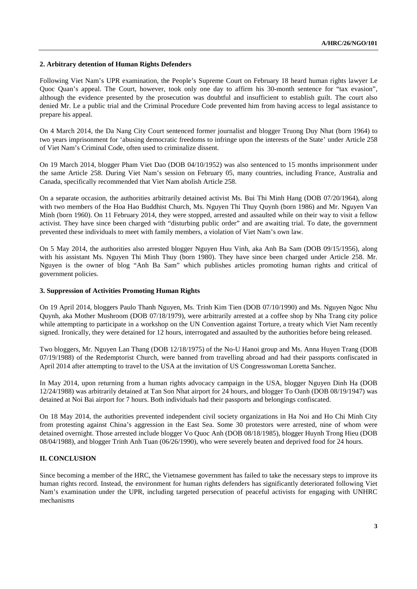### **2. Arbitrary detention of Human Rights Defenders**

Following Viet Nam's UPR examination, the People's Supreme Court on February 18 heard human rights lawyer Le Quoc Quan's appeal. The Court, however, took only one day to affirm his 30-month sentence for "tax evasion", although the evidence presented by the prosecution was doubtful and insufficient to establish guilt. The court also denied Mr. Le a public trial and the Criminal Procedure Code prevented him from having access to legal assistance to prepare his appeal.

On 4 March 2014, the Da Nang City Court sentenced former journalist and blogger Truong Duy Nhat (born 1964) to two years imprisonment for 'abusing democratic freedoms to infringe upon the interests of the State' under Article 258 of Viet Nam's Criminal Code, often used to criminalize dissent.

On 19 March 2014, blogger Pham Viet Dao (DOB 04/10/1952) was also sentenced to 15 months imprisonment under the same Article 258. During Viet Nam's session on February 05, many countries, including France, Australia and Canada, specifically recommended that Viet Nam abolish Article 258.

On a separate occasion, the authorities arbitrarily detained activist Ms. Bui Thi Minh Hang (DOB 07/20/1964), along with two members of the Hoa Hao Buddhist Church, Ms. Nguyen Thi Thuy Quynh (born 1986) and Mr. Nguyen Van Minh (born 1960). On 11 February 2014, they were stopped, arrested and assaulted while on their way to visit a fellow activist. They have since been charged with "disturbing public order" and are awaiting trial. To date, the government prevented these individuals to meet with family members, a violation of Viet Nam's own law.

On 5 May 2014, the authorities also arrested blogger Nguyen Huu Vinh, aka Anh Ba Sam (DOB 09/15/1956), along with his assistant Ms. Nguyen Thi Minh Thuy (born 1980). They have since been charged under Article 258. Mr. Nguyen is the owner of blog "Anh Ba Sam" which publishes articles promoting human rights and critical of government policies.

#### **3. Suppression of Activities Promoting Human Rights**

On 19 April 2014, bloggers Paulo Thanh Nguyen, Ms. Trinh Kim Tien (DOB 07/10/1990) and Ms. Nguyen Ngoc Nhu Quynh, aka Mother Mushroom (DOB 07/18/1979), were arbitrarily arrested at a coffee shop by Nha Trang city police while attempting to participate in a workshop on the UN Convention against Torture, a treaty which Viet Nam recently signed. Ironically, they were detained for 12 hours, interrogated and assaulted by the authorities before being released.

Two bloggers, Mr. Nguyen Lan Thang (DOB 12/18/1975) of the No-U Hanoi group and Ms. Anna Huyen Trang (DOB 07/19/1988) of the Redemptorist Church, were banned from travelling abroad and had their passports confiscated in April 2014 after attempting to travel to the USA at the invitation of US Congresswoman Loretta Sanchez.

In May 2014, upon returning from a human rights advocacy campaign in the USA, blogger Nguyen Dinh Ha (DOB 12/24/1988) was arbitrarily detained at Tan Son Nhat airport for 24 hours, and blogger To Oanh (DOB 08/19/1947) was detained at Noi Bai airport for 7 hours. Both individuals had their passports and belongings confiscated.

On 18 May 2014, the authorities prevented independent civil society organizations in Ha Noi and Ho Chi Minh City from protesting against China's aggression in the East Sea. Some 30 protestors were arrested, nine of whom were detained overnight. Those arrested include blogger Vo Quoc Anh (DOB 08/18/1985), blogger Huynh Trong Hieu (DOB 08/04/1988), and blogger Trinh Anh Tuan (06/26/1990), who were severely beaten and deprived food for 24 hours.

#### **II. CONCLUSION**

Since becoming a member of the HRC, the Vietnamese government has failed to take the necessary steps to improve its human rights record. Instead, the environment for human rights defenders has significantly deteriorated following Viet Nam's examination under the UPR, including targeted persecution of peaceful activists for engaging with UNHRC mechanisms